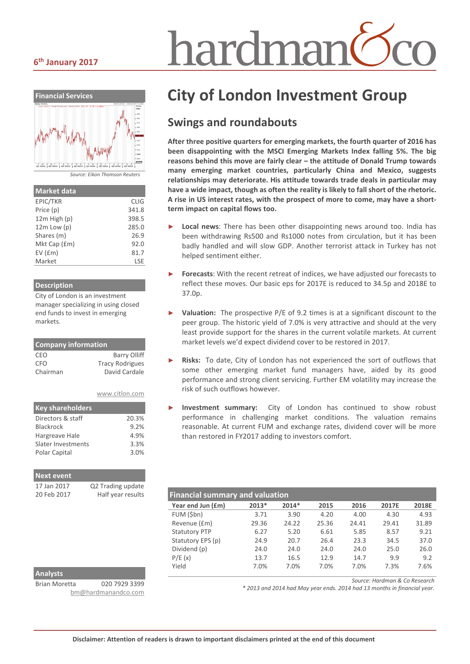#### **6th January 2017**



| <b>Market data</b> |             |
|--------------------|-------------|
| EPIC/TKR           | <b>CLIG</b> |
| Price (p)          | 341.8       |
| 12m High (p)       | 398.5       |
| $12m$ Low $(p)$    | 285.0       |
| Shares (m)         | 26.9        |
| Mkt Cap (£m)       | 92.0        |
| EV(fm)             | 81.7        |
| Market             | LSE         |

#### **Description**

City of London is an investment manager specializing in using closed end funds to invest in emerging markets.

| <b>Company information</b> |                        |  |  |  |
|----------------------------|------------------------|--|--|--|
| CEO                        | <b>Barry Olliff</b>    |  |  |  |
| CFO                        | <b>Tracy Rodrigues</b> |  |  |  |
| Chairman                   | David Cardale          |  |  |  |
|                            |                        |  |  |  |

|  | www.citlon.com |  |  |  |  |
|--|----------------|--|--|--|--|
|  |                |  |  |  |  |

| <b>Key shareholders</b> |       |
|-------------------------|-------|
| Directors & staff       | 20.3% |
| <b>Blackrock</b>        | 9.2%  |
| Hargreave Hale          | 4.9%  |
| Slater Investments      | 3.3%  |
| Polar Capital           | 3.0%  |

| <b>Next event</b> |                   |
|-------------------|-------------------|
| 17 Jan 2017       | Q2 Trading update |
| 20 Feb 2017       | Half year results |

# hardman<sup>(</sup>

# **City of London Investment Group**

## **Swings and roundabouts**

**After three positive quarters for emerging markets, the fourth quarter of 2016 has been disappointing with the MSCI Emerging Markets Index falling 5%. The big reasons behind this move are fairly clear – the attitude of Donald Trump towards many emerging market countries, particularly China and Mexico, suggests relationships may deteriorate. His attitude towards trade deals in particular may have a wide impact, though as often the reality is likely to fall short of the rhetoric. A rise in US interest rates, with the prospect of more to come, may have a shortterm impact on capital flows too.**

- Local news: There has been other disappointing news around too. India has been withdrawing Rs500 and Rs1000 notes from circulation, but it has been badly handled and will slow GDP. Another terrorist attack in Turkey has not helped sentiment either.
- ► **Forecasts**: With the recent retreat of indices, we have adjusted our forecasts to reflect these moves. Our basic eps for 2017E is reduced to 34.5p and 2018E to 37.0p.
- **Valuation:** The prospective P/E of 9.2 times is at a significant discount to the peer group. The historic yield of 7.0% is very attractive and should at the very least provide support for the shares in the current volatile markets. At current market levels we'd expect dividend cover to be restored in 2017.
- **Risks:** To date, City of London has not experienced the sort of outflows that some other emerging market fund managers have, aided by its good performance and strong client servicing. Further EM volatility may increase the risk of such outflows however.
- Investment summary: City of London has continued to show robust performance in challenging market conditions. The valuation remains reasonable. At current FUM and exchange rates, dividend cover will be more than restored in FY2017 adding to investors comfort.

| <b>Financial summary and valuation</b> |       |         |       |       |       |       |
|----------------------------------------|-------|---------|-------|-------|-------|-------|
| Year end Jun (£m)                      | 2013* | $2014*$ | 2015  | 2016  | 2017E | 2018E |
| FUM (\$bn)                             | 3.71  | 3.90    | 4.20  | 4.00  | 4.30  | 4.93  |
| Revenue (£m)                           | 29.36 | 24.22   | 25.36 | 24.41 | 29.41 | 31.89 |
| <b>Statutory PTP</b>                   | 6.27  | 5.20    | 6.61  | 5.85  | 8.57  | 9.21  |
| Statutory EPS (p)                      | 24.9  | 20.7    | 26.4  | 23.3  | 34.5  | 37.0  |
| Dividend (p)                           | 24.0  | 24.0    | 24.0  | 24.0  | 25.0  | 26.0  |
| P/E(x)                                 | 13.7  | 16.5    | 12.9  | 14.7  | 9.9   | 9.2   |
| Yield                                  | 7.0%  | 7.0%    | 7.0%  | 7.0%  | 7.3%  | 7.6%  |

### **Analysts**

Brian Moretta 020 7929 3399 [bm@hardmanandco.com](mailto:bm@hardmanandco.com) *Source: Hardman & Co Research*

*\* 2013 and 2014 had May year ends. 2014 had 13 months in financial year.*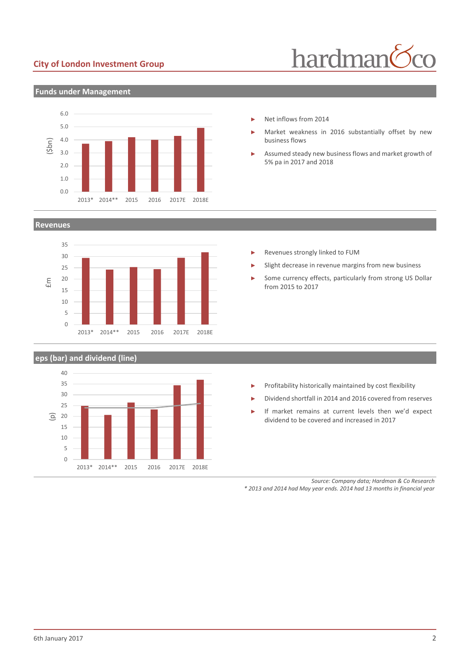#### **City of London Investment Group**



#### **Funds under Management**



#### **Revenues**



#### **eps (bar) and dividend (line)**



- ► Net inflows from 2014
- Market weakness in 2016 substantially offset by new business flows
- Assumed steady new business flows and market growth of 5% pa in 2017 and 2018

- Revenues strongly linked to FUM
- Slight decrease in revenue margins from new business
- Some currency effects, particularly from strong US Dollar from 2015 to 2017

- ► Profitability historically maintained by cost flexibility
- ► Dividend shortfall in 2014 and 2016 covered from reserves
- If market remains at current levels then we'd expect dividend to be covered and increased in 2017

*Source: Company data; Hardman & Co Research*

*\* 2013 and 2014 had May year ends. 2014 had 13 months in financial year*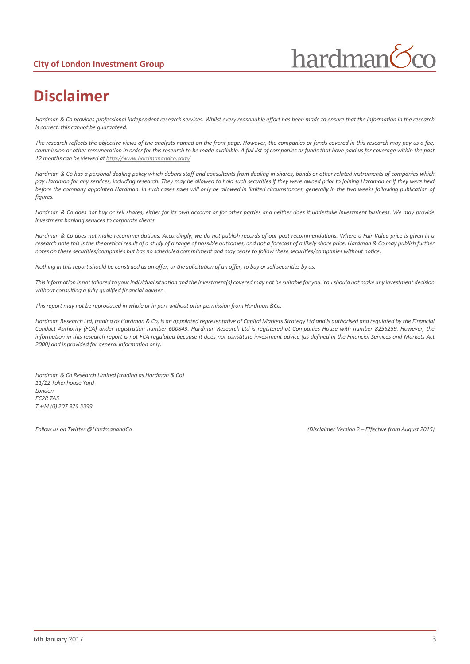

# **Disclaimer**

*Hardman & Co provides professional independent research services. Whilst every reasonable effort has been made to ensure that the information in the research is correct, this cannot be guaranteed.*

*The research reflects the objective views of the analysts named on the front page. However, the companies or funds covered in this research may pay us a fee, commission or other remuneration in order for this research to be made available. A full list of companies or funds that have paid us for coverage within the past 12 months can be viewed a[t http://www.hardmanandco.com/](http://www.hardmanandco.com/)*

Hardman & Co has a personal dealing policy which debars staff and consultants from dealing in shares, bonds or other related instruments of companies which *pay Hardman for any services, including research. They may be allowed to hold such securities if they were owned prior to joining Hardman or if they were held before the company appointed Hardman. In such cases sales will only be allowed in limited circumstances, generally in the two weeks following publication of figures.* 

*Hardman & Co does not buy or sell shares, either for its own account or for other parties and neither does it undertake investment business. We may provide investment banking services to corporate clients.* 

*Hardman & Co does not make recommendations. Accordingly, we do not publish records of our past recommendations. Where a Fair Value price is given in a*  research note this is the theoretical result of a study of a range of possible outcomes, and not a forecast of a likely share price. Hardman & Co may publish further *notes on these securities/companies but has no scheduled commitment and may cease to follow these securities/companies without notice.*

*Nothing in this report should be construed as an offer, or the solicitation of an offer, to buy or sell securities by us.*

*This information is not tailored to your individual situation and the investment(s) covered may not be suitable for you. You should not make any investment decision without consulting a fully qualified financial adviser.*

*This report may not be reproduced in whole or in part without prior permission from Hardman &Co.*

*Hardman Research Ltd, trading as Hardman & Co, is an appointed representative of Capital Markets Strategy Ltd and is authorised and regulated by the Financial Conduct Authority (FCA) under registration number 600843. Hardman Research Ltd is registered at Companies House with number 8256259. However, the information in this research report is not FCA regulated because it does not constitute investment advice (as defined in the Financial Services and Markets Act 2000) and is provided for general information only.*

*Hardman & Co Research Limited (trading as Hardman & Co) 11/12 Tokenhouse Yard London EC2R 7AS T +44 (0) 207 929 3399*

*Follow us on Twitter @HardmanandCo (Disclaimer Version 2 – Effective from August 2015)*